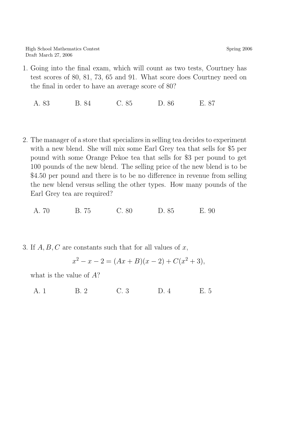1. Going into the final exam, which will count as two tests, Courtney has test scores of 80, 81, 73, 65 and 91. What score does Courtney need on the final in order to have an average score of 80?

A. 83 B. 84 C. 85 D. 86 E. 87

2. The manager of a store that specializes in selling tea decides to experiment with a new blend. She will mix some Earl Grey tea that sells for \$5 per pound with some Orange Pekoe tea that sells for \$3 per pound to get 100 pounds of the new blend. The selling price of the new blend is to be \$4.50 per pound and there is to be no difference in revenue from selling the new blend versus selling the other types. How many pounds of the Earl Grey tea are required?

A. 70 B. 75 C. 80 D. 85 E. 90

3. If  $A, B, C$  are constants such that for all values of x,

$$
x^{2} - x - 2 = (Ax + B)(x - 2) + C(x^{2} + 3),
$$

what is the value of A?

A. 1 B. 2 C. 3 D. 4 E. 5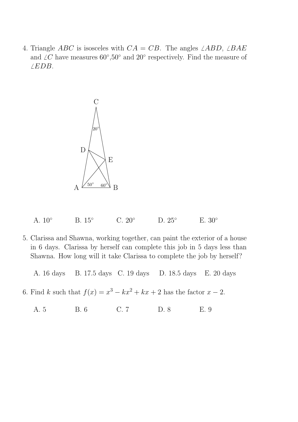4. Triangle *ABC* is isosceles with  $CA = CB$ . The angles  $\angle ABD$ ,  $\angle BAE$ and  $\angle C$  have measures 60°,50° and 20° respectively. Find the measure of  $\angle EDB$ .



A. 10° B. 15° C. 20° D. 25° E. 30°

5. Clarissa and Shawna, working together, can paint the exterior of a house in 6 days. Clarissa by herself can complete this job in 5 days less than Shawna. How long will it take Clarissa to complete the job by herself?

A. 16 days B. 17.5 days C. 19 days D. 18.5 days E. 20 days

6. Find k such that  $f(x) = x^3 - kx^2 + kx + 2$  has the factor  $x - 2$ .

A. 5 B. 6 C. 7 D. 8 E. 9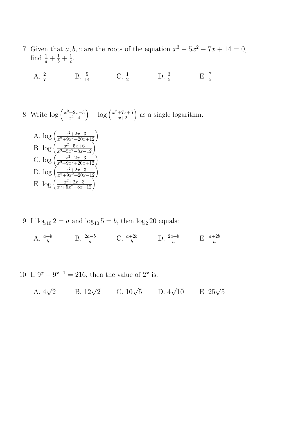- 7. Given that  $a, b, c$  are the roots of the equation  $x^3 5x^2 7x + 14 = 0$ , find  $\frac{1}{a} + \frac{1}{b} + \frac{1}{c}$  $\frac{1}{c}$ .
	- A.  $\frac{2}{7}$  B.  $\frac{5}{14}$  C.  $\frac{1}{2}$  D.  $\frac{3}{5}$  E.  $\frac{7}{5}$
- 8. Write  $\log \left( \frac{x^2 + 2x 3}{x^2 4} \right)$  $\left(-\log\left(\frac{x^2+7x+6}{x+2}\right)\right)$  as a single logarithm.

A. 
$$
\log \left( \frac{x^2 + 2x - 3}{x^3 + 9x^2 + 20x + 12} \right)
$$
  
\nB.  $\log \left( \frac{x^2 + 5x + 6}{x^3 + 5x^2 - 8x - 12} \right)$   
\nC.  $\log \left( \frac{x^2 - 2x - 3}{x^3 + 9x^2 + 20x + 12} \right)$   
\nD.  $\log \left( \frac{x^2 + 2x - 3}{x^3 + 9x^2 + 20x - 12} \right)$   
\nE.  $\log \left( \frac{x^2 + 2x - 3}{x^3 + 5x^2 - 8x - 12} \right)$ 

- 9. If  $\log_{10} 2 = a$  and  $\log_{10} 5 = b$ , then  $\log_2 20$  equals:
	- A.  $\frac{a+b}{b}$  B.  $\frac{2a-b}{a}$  C.  $\frac{a+2b}{b}$  D.  $\frac{2a+b}{a}$  E.  $\frac{a+2b}{a}$
- 10. If  $9^x 9^{x-1} = 216$ , then the value of  $2^x$  is:

A. 
$$
4\sqrt{2}
$$
 B.  $12\sqrt{2}$  C.  $10\sqrt{5}$  D.  $4\sqrt{10}$  E.  $25\sqrt{5}$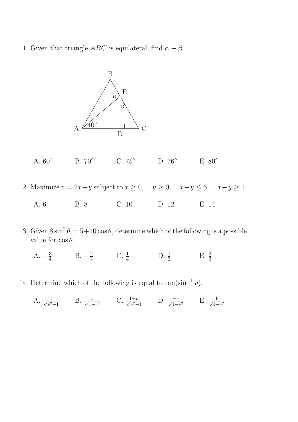11. Given that triangle *ABC* is equilateral, find  $\alpha - \beta$ .



A. 60° B. 70° C. 75° D. 76° E. 80°

12. Maximize  $z = 2x + y$  subject to  $x \ge 0$ ,  $y \ge 0$ ,  $x+y \le 6$ ,  $x+y \ge 1$ .

| A. 6 | <b>B.</b> 8 | C.10 | D. 12 | E. 14 |
|------|-------------|------|-------|-------|
|      |             |      |       |       |

13. Given  $8\sin^2\theta = 5+10\cos\theta$ , determine which of the following is a possible value for  $\cos \theta$ .

A.  $-\frac{3}{4}$  $\frac{3}{4}$  B.  $-\frac{2}{3}$  $\frac{2}{3}$  C.  $\frac{1}{4}$  D.  $\frac{1}{2}$  E.  $\frac{2}{3}$ 

14. Determine which of the following is equal to  $tan(sin^{-1} v)$ .

A. 
$$
\frac{1}{\sqrt{v^2-1}}
$$
 B.  $\frac{v}{\sqrt{1-v^2}}$  C.  $\frac{1+v}{\sqrt{v^2-1}}$  D.  $\frac{-v}{\sqrt{1-v^2}}$  E.  $\frac{1}{\sqrt{1-v^2}}$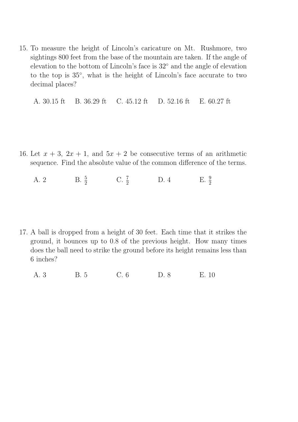15. To measure the height of Lincoln's caricature on Mt. Rushmore, two sightings 800 feet from the base of the mountain are taken. If the angle of elevation to the bottom of Lincoln's face is 32◦ and the angle of elevation to the top is 35◦ , what is the height of Lincoln's face accurate to two decimal places?

A. 30.15 ft B. 36.29 ft C. 45.12 ft D. 52.16 ft E. 60.27 ft

- 16. Let  $x + 3$ ,  $2x + 1$ , and  $5x + 2$  be consecutive terms of an arithmetic sequence. Find the absolute value of the common difference of the terms.
	- A. 2 B.  $\frac{5}{2}$  C.  $\frac{7}{2}$  D. 4 E.  $\frac{9}{2}$

17. A ball is dropped from a height of 30 feet. Each time that it strikes the ground, it bounces up to 0.8 of the previous height. How many times does the ball need to strike the ground before its height remains less than 6 inches?

A. 3 B. 5 C. 6 D. 8 E. 10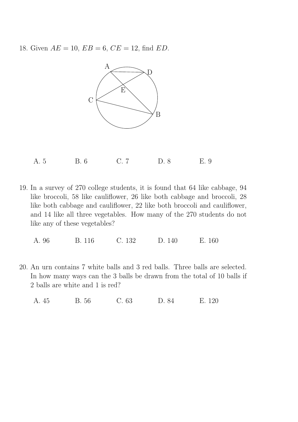18. Given  $AE = 10$ ,  $EB = 6$ ,  $CE = 12$ , find  $ED$ .



A. 5 B. 6 C. 7 D. 8 E. 9

19. In a survey of 270 college students, it is found that 64 like cabbage, 94 like broccoli, 58 like cauliflower, 26 like both cabbage and broccoli, 28 like both cabbage and cauliflower, 22 like both broccoli and cauliflower, and 14 like all three vegetables. How many of the 270 students do not like any of these vegetables?

A. 96 B. 116 C. 132 D. 140 E. 160

20. An urn contains 7 white balls and 3 red balls. Three balls are selected. In how many ways can the 3 balls be drawn from the total of 10 balls if 2 balls are white and 1 is red?

A. 45 B. 56 C. 63 D. 84 E. 120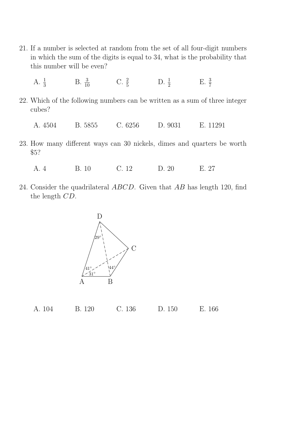- 21. If a number is selected at random from the set of all four-digit numbers in which the sum of the digits is equal to 34, what is the probability that this number will be even?
	- A.  $\frac{1}{3}$ B.  $\frac{3}{10}$  C.  $\frac{2}{5}$  D.  $\frac{1}{2}$  E.  $\frac{3}{7}$
- 22. Which of the following numbers can be written as a sum of three integer cubes?
	- A. 4504 B. 5855 C. 6256 D. 9031 E. 11291
- 23. How many different ways can 30 nickels, dimes and quarters be worth \$5?

A. 4 B. 10 C. 12 D. 20 E. 27

24. Consider the quadrilateral *ABCD*. Given that *AB* has length 120, find the length CD.

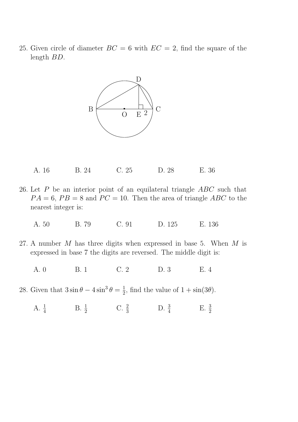25. Given circle of diameter  $BC = 6$  with  $EC = 2$ , find the square of the length BD.



- A. 16 B. 24 C. 25 D. 28 E. 36
- 26. Let P be an interior point of an equilateral triangle ABC such that  $PA = 6$ ,  $PB = 8$  and  $PC = 10$ . Then the area of triangle ABC to the nearest integer is:
	- A. 50 B. 79 C. 91 D. 125 E. 136
- 27. A number  $M$  has three digits when expressed in base 5. When  $M$  is expressed in base 7 the digits are reversed. The middle digit is:
	- A. 0 B. 1 C. 2 D. 3 E. 4
- 28. Given that  $3\sin\theta 4\sin^3\theta = \frac{1}{2}$  $\frac{1}{2}$ , find the value of  $1 + \sin(3\theta)$ .
	- A.  $\frac{1}{4}$  B.  $\frac{1}{2}$  C.  $\frac{2}{3}$  D.  $\frac{3}{4}$  E.  $\frac{3}{2}$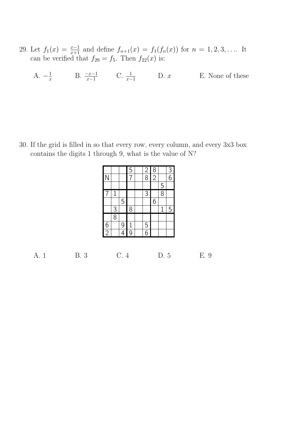- 29. Let  $f_1(x) = \frac{x-1}{x+1}$  and define  $f_{n+1}(x) = f_1(f_n(x))$  for  $n = 1, 2, 3, \ldots$  It can be verified that  $f_{29} = f_5$ . Then  $f_{22}(x)$  is:
	- A.  $-\frac{1}{x}$  $\frac{1}{x}$  B.  $\frac{-x-1}{x-1}$  C.  $\frac{1}{x-1}$  D. x E. None of these

30. If the grid is filled in so that every row, every column, and every 3x3 box contains the digits 1 through 9, what is the value of N?

|               |               |   | $\frac{5}{7}$  | $\frac{2}{8}$  | $\frac{8}{2}$ |                | $\frac{3}{6}$ |
|---------------|---------------|---|----------------|----------------|---------------|----------------|---------------|
| N             |               |   |                |                |               |                |               |
|               |               |   |                |                |               | $\overline{5}$ |               |
| 7             | $\mathbf{1}$  |   |                | $\overline{3}$ |               | $\overline{8}$ |               |
|               |               | 5 |                |                | 6             |                |               |
|               |               |   | 8              |                |               | $\mathbf{1}$   | 5             |
|               | $\frac{3}{8}$ |   |                |                |               |                |               |
|               |               | 9 | $\overline{1}$ | $\frac{5}{6}$  |               |                |               |
| $\frac{6}{2}$ |               | 4 | $\overline{9}$ |                |               |                |               |

A. 1 B. 3 C. 4 D. 5 E. 9